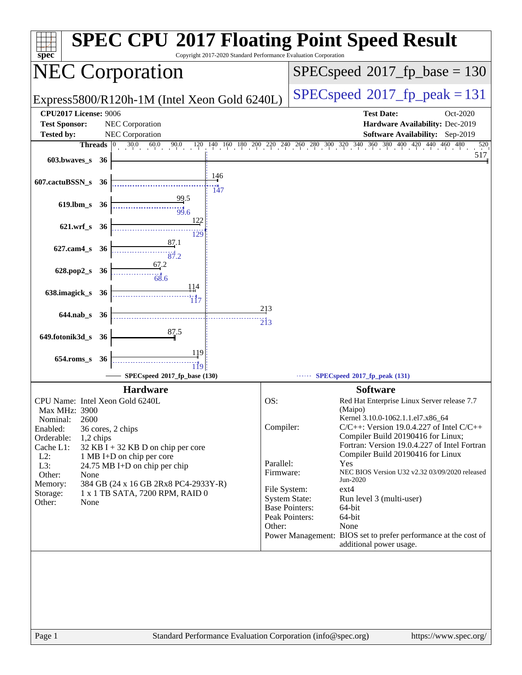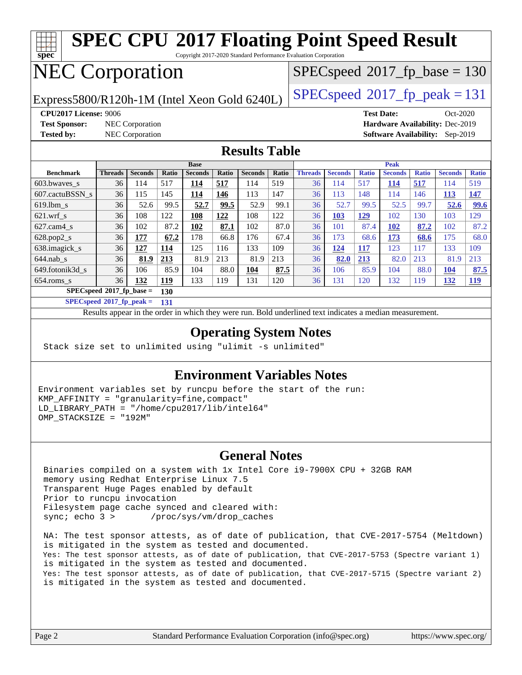

**[SPECspeed](http://www.spec.org/auto/cpu2017/Docs/result-fields.html#SPECspeed2017fpbase)[2017\\_fp\\_base =](http://www.spec.org/auto/cpu2017/Docs/result-fields.html#SPECspeed2017fpbase) 130**

**[SPECspeed](http://www.spec.org/auto/cpu2017/Docs/result-fields.html#SPECspeed2017fppeak)[2017\\_fp\\_peak =](http://www.spec.org/auto/cpu2017/Docs/result-fields.html#SPECspeed2017fppeak) 131**

Results appear in the [order in which they were run.](http://www.spec.org/auto/cpu2017/Docs/result-fields.html#RunOrder) Bold underlined text [indicates a median measurement](http://www.spec.org/auto/cpu2017/Docs/result-fields.html#Median).

[654.roms\\_s](http://www.spec.org/auto/cpu2017/Docs/benchmarks/654.roms_s.html) 36 **[132](http://www.spec.org/auto/cpu2017/Docs/result-fields.html#Median) [119](http://www.spec.org/auto/cpu2017/Docs/result-fields.html#Median)** 133 119 131 120 36 131 120 132 119 **[132](http://www.spec.org/auto/cpu2017/Docs/result-fields.html#Median) [119](http://www.spec.org/auto/cpu2017/Docs/result-fields.html#Median)**

#### **[Operating System Notes](http://www.spec.org/auto/cpu2017/Docs/result-fields.html#OperatingSystemNotes)**

Stack size set to unlimited using "ulimit -s unlimited"

#### **[Environment Variables Notes](http://www.spec.org/auto/cpu2017/Docs/result-fields.html#EnvironmentVariablesNotes)**

Environment variables set by runcpu before the start of the run: KMP\_AFFINITY = "granularity=fine,compact" LD\_LIBRARY\_PATH = "/home/cpu2017/lib/intel64" OMP\_STACKSIZE = "192M"

#### **[General Notes](http://www.spec.org/auto/cpu2017/Docs/result-fields.html#GeneralNotes)**

 Binaries compiled on a system with 1x Intel Core i9-7900X CPU + 32GB RAM memory using Redhat Enterprise Linux 7.5 Transparent Huge Pages enabled by default Prior to runcpu invocation Filesystem page cache synced and cleared with: sync; echo 3 > /proc/sys/vm/drop\_caches

 NA: The test sponsor attests, as of date of publication, that CVE-2017-5754 (Meltdown) is mitigated in the system as tested and documented. Yes: The test sponsor attests, as of date of publication, that CVE-2017-5753 (Spectre variant 1) is mitigated in the system as tested and documented. Yes: The test sponsor attests, as of date of publication, that CVE-2017-5715 (Spectre variant 2) is mitigated in the system as tested and documented.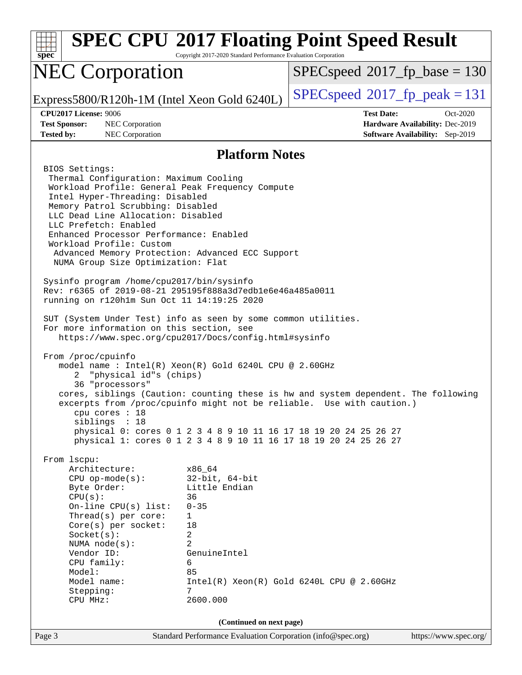| Spec                                                                                                                                                                                                                                                                                                                                                                                                                                                                                                                                                                                                                                                                                                                                                                                                                                                                                                                                                                                                                                                                                           | Copyright 2017-2020 Standard Performance Evaluation Corporation                                                                              | <b>SPEC CPU®2017 Floating Point Speed Result</b>                 |                                        |  |
|------------------------------------------------------------------------------------------------------------------------------------------------------------------------------------------------------------------------------------------------------------------------------------------------------------------------------------------------------------------------------------------------------------------------------------------------------------------------------------------------------------------------------------------------------------------------------------------------------------------------------------------------------------------------------------------------------------------------------------------------------------------------------------------------------------------------------------------------------------------------------------------------------------------------------------------------------------------------------------------------------------------------------------------------------------------------------------------------|----------------------------------------------------------------------------------------------------------------------------------------------|------------------------------------------------------------------|----------------------------------------|--|
| <b>NEC Corporation</b>                                                                                                                                                                                                                                                                                                                                                                                                                                                                                                                                                                                                                                                                                                                                                                                                                                                                                                                                                                                                                                                                         |                                                                                                                                              | $SPEC speed^{\circ}2017$ fp base = 130                           |                                        |  |
| Express5800/R120h-1M (Intel Xeon Gold 6240L)                                                                                                                                                                                                                                                                                                                                                                                                                                                                                                                                                                                                                                                                                                                                                                                                                                                                                                                                                                                                                                                   |                                                                                                                                              | $SPEC speed^{\circ}2017$ [p_peak = 131                           |                                        |  |
| CPU2017 License: 9006                                                                                                                                                                                                                                                                                                                                                                                                                                                                                                                                                                                                                                                                                                                                                                                                                                                                                                                                                                                                                                                                          |                                                                                                                                              | <b>Test Date:</b>                                                | Oct-2020                               |  |
| <b>Test Sponsor:</b><br>NEC Corporation                                                                                                                                                                                                                                                                                                                                                                                                                                                                                                                                                                                                                                                                                                                                                                                                                                                                                                                                                                                                                                                        |                                                                                                                                              |                                                                  | Hardware Availability: Dec-2019        |  |
| <b>Tested by:</b><br>NEC Corporation                                                                                                                                                                                                                                                                                                                                                                                                                                                                                                                                                                                                                                                                                                                                                                                                                                                                                                                                                                                                                                                           |                                                                                                                                              |                                                                  | <b>Software Availability:</b> Sep-2019 |  |
|                                                                                                                                                                                                                                                                                                                                                                                                                                                                                                                                                                                                                                                                                                                                                                                                                                                                                                                                                                                                                                                                                                | <b>Platform Notes</b>                                                                                                                        |                                                                  |                                        |  |
| BIOS Settings:<br>Thermal Configuration: Maximum Cooling<br>Workload Profile: General Peak Frequency Compute<br>Intel Hyper-Threading: Disabled<br>Memory Patrol Scrubbing: Disabled<br>LLC Dead Line Allocation: Disabled<br>LLC Prefetch: Enabled<br>Enhanced Processor Performance: Enabled<br>Workload Profile: Custom<br>Advanced Memory Protection: Advanced ECC Support<br>NUMA Group Size Optimization: Flat<br>Sysinfo program /home/cpu2017/bin/sysinfo<br>Rev: r6365 of 2019-08-21 295195f888a3d7edble6e46a485a0011<br>running on r120h1m Sun Oct 11 14:19:25 2020<br>SUT (System Under Test) info as seen by some common utilities.<br>For more information on this section, see<br>https://www.spec.org/cpu2017/Docs/config.html#sysinfo<br>From /proc/cpuinfo<br>model name: $Intel(R)$ Xeon $(R)$ Gold 6240L CPU @ 2.60GHz<br>"physical id"s (chips)<br>2.<br>36 "processors"<br>cores, siblings (Caution: counting these is hw and system dependent. The following<br>excerpts from /proc/cpuinfo might not be reliable. Use with caution.)<br>cpu cores : 18<br>siblings : 18 |                                                                                                                                              | physical 0: cores 0 1 2 3 4 8 9 10 11 16 17 18 19 20 24 25 26 27 |                                        |  |
| physical 1: cores 0 1 2 3 4 8 9 10 11 16 17 18 19 20 24 25 26 27<br>From 1scpu:                                                                                                                                                                                                                                                                                                                                                                                                                                                                                                                                                                                                                                                                                                                                                                                                                                                                                                                                                                                                                |                                                                                                                                              |                                                                  |                                        |  |
| Architecture:<br>$CPU$ op-mode( $s$ ):<br>Byte Order:<br>CPU(s):<br>On-line $CPU(s)$ list:<br>Thread(s) per core:<br>Core(s) per socket:<br>Socket(s):<br>NUMA node(s):<br>Vendor ID:<br>CPU family:<br>Model:<br>Model name:<br>Stepping:<br>CPU MHz:                                                                                                                                                                                                                                                                                                                                                                                                                                                                                                                                                                                                                                                                                                                                                                                                                                         | x86 64<br>$32$ -bit, $64$ -bit<br>Little Endian<br>36<br>$0 - 35$<br>$\mathbf 1$<br>18<br>2<br>2<br>GenuineIntel<br>6<br>85<br>7<br>2600.000 | $Intel(R) Xeon(R) Gold 6240L CPU @ 2.60GHz$                      |                                        |  |
| (Continued on next page)                                                                                                                                                                                                                                                                                                                                                                                                                                                                                                                                                                                                                                                                                                                                                                                                                                                                                                                                                                                                                                                                       |                                                                                                                                              |                                                                  |                                        |  |
| Page 3                                                                                                                                                                                                                                                                                                                                                                                                                                                                                                                                                                                                                                                                                                                                                                                                                                                                                                                                                                                                                                                                                         | Standard Performance Evaluation Corporation (info@spec.org)                                                                                  |                                                                  | https://www.spec.org/                  |  |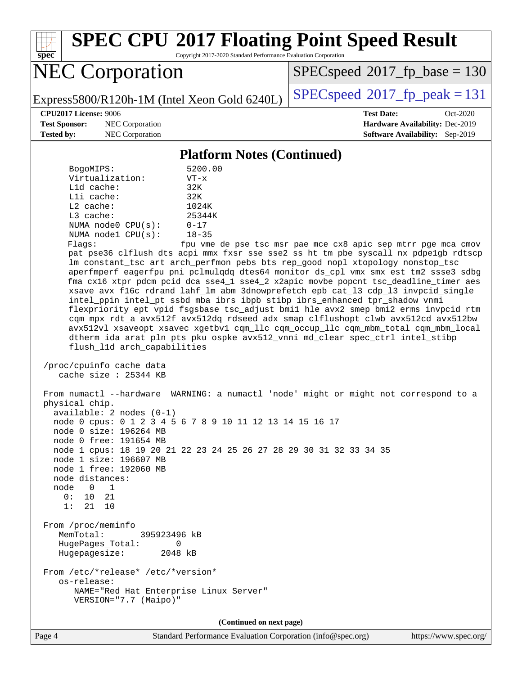

# **[SPEC CPU](http://www.spec.org/auto/cpu2017/Docs/result-fields.html#SPECCPU2017FloatingPointSpeedResult)[2017 Floating Point Speed Result](http://www.spec.org/auto/cpu2017/Docs/result-fields.html#SPECCPU2017FloatingPointSpeedResult)**

Copyright 2017-2020 Standard Performance Evaluation Corporation

# NEC Corporation

[SPECspeed](http://www.spec.org/auto/cpu2017/Docs/result-fields.html#SPECspeed2017fpbase)<sup>®</sup>2017 fp base = 130

Express5800/R120h-1M (Intel Xeon Gold 6240L)  $\left|$  [SPECspeed](http://www.spec.org/auto/cpu2017/Docs/result-fields.html#SPECspeed2017fppeak)®[2017\\_fp\\_peak = 1](http://www.spec.org/auto/cpu2017/Docs/result-fields.html#SPECspeed2017fppeak)31

**[Test Sponsor:](http://www.spec.org/auto/cpu2017/Docs/result-fields.html#TestSponsor)** NEC Corporation **[Hardware Availability:](http://www.spec.org/auto/cpu2017/Docs/result-fields.html#HardwareAvailability)** Dec-2019

**[CPU2017 License:](http://www.spec.org/auto/cpu2017/Docs/result-fields.html#CPU2017License)** 9006 **[Test Date:](http://www.spec.org/auto/cpu2017/Docs/result-fields.html#TestDate)** Oct-2020 **[Tested by:](http://www.spec.org/auto/cpu2017/Docs/result-fields.html#Testedby)** NEC Corporation **[Software Availability:](http://www.spec.org/auto/cpu2017/Docs/result-fields.html#SoftwareAvailability)** Sep-2019

#### **[Platform Notes \(Continued\)](http://www.spec.org/auto/cpu2017/Docs/result-fields.html#PlatformNotes)**

| BogoMIPS:          | 5200.00   |
|--------------------|-----------|
| Virtualization:    | $VT - x$  |
| $L1d$ cache:       | 32K       |
| Lli cache:         | 32K       |
| $L2$ cache:        | 1024K     |
| $L3$ cache:        | 25344K    |
| NUMA node0 CPU(s): | $0 - 17$  |
| NUMA nodel CPU(s): | $18 - 35$ |
|                    |           |

Flags: fpu vme de pse tsc msr pae mce cx8 apic sep mtrr pge mca cmov pat pse36 clflush dts acpi mmx fxsr sse sse2 ss ht tm pbe syscall nx pdpe1gb rdtscp lm constant\_tsc art arch\_perfmon pebs bts rep\_good nopl xtopology nonstop\_tsc aperfmperf eagerfpu pni pclmulqdq dtes64 monitor ds\_cpl vmx smx est tm2 ssse3 sdbg fma cx16 xtpr pdcm pcid dca sse4\_1 sse4\_2 x2apic movbe popcnt tsc\_deadline\_timer aes xsave avx f16c rdrand lahf\_lm abm 3dnowprefetch epb cat\_l3 cdp\_l3 invpcid\_single intel\_ppin intel\_pt ssbd mba ibrs ibpb stibp ibrs\_enhanced tpr\_shadow vnmi flexpriority ept vpid fsgsbase tsc\_adjust bmi1 hle avx2 smep bmi2 erms invpcid rtm cqm mpx rdt\_a avx512f avx512dq rdseed adx smap clflushopt clwb avx512cd avx512bw avx512vl xsaveopt xsavec xgetbv1 cqm\_llc cqm\_occup\_llc cqm\_mbm\_total cqm\_mbm\_local dtherm ida arat pln pts pku ospke avx512\_vnni md\_clear spec\_ctrl intel\_stibp flush\_l1d arch\_capabilities

```
 /proc/cpuinfo cache data
    cache size : 25344 KB
```
 From numactl --hardware WARNING: a numactl 'node' might or might not correspond to a physical chip. available: 2 nodes (0-1) node 0 cpus: 0 1 2 3 4 5 6 7 8 9 10 11 12 13 14 15 16 17 node 0 size: 196264 MB node 0 free: 191654 MB node 1 cpus: 18 19 20 21 22 23 24 25 26 27 28 29 30 31 32 33 34 35 node 1 size: 196607 MB node 1 free: 192060 MB node distances: node 0 1 0: 10 21 1: 21 10 From /proc/meminfo MemTotal: 395923496 kB HugePages\_Total: 0 Hugepagesize: 2048 kB From /etc/\*release\* /etc/\*version\* os-release: NAME="Red Hat Enterprise Linux Server" VERSION="7.7 (Maipo)"

**(Continued on next page)**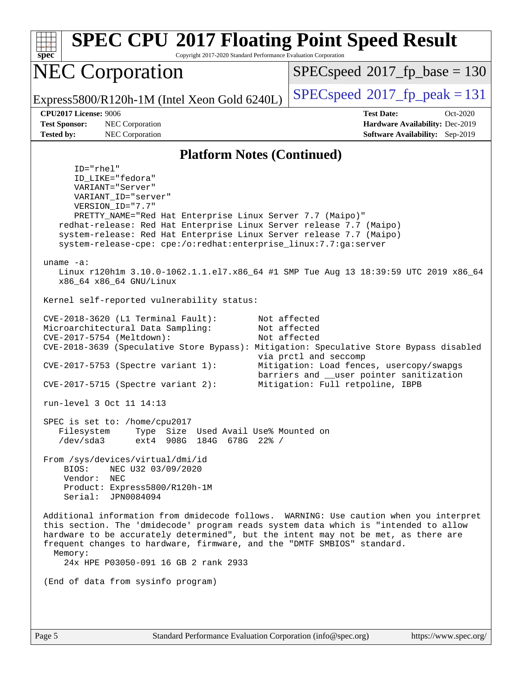| spec <sup>®</sup>                                                         | <b>SPEC CPU®2017 Floating Point Speed Result</b><br>Copyright 2017-2020 Standard Performance Evaluation Corporation                                                                                                                                                                                                                                                                                    |                                                                                                                                                                                                                                                                                              |  |  |
|---------------------------------------------------------------------------|--------------------------------------------------------------------------------------------------------------------------------------------------------------------------------------------------------------------------------------------------------------------------------------------------------------------------------------------------------------------------------------------------------|----------------------------------------------------------------------------------------------------------------------------------------------------------------------------------------------------------------------------------------------------------------------------------------------|--|--|
| <b>NEC Corporation</b><br>Express5800/R120h-1M (Intel Xeon Gold 6240L)    |                                                                                                                                                                                                                                                                                                                                                                                                        | $SPEC speed^{\circ}2017\_fp\_base = 130$                                                                                                                                                                                                                                                     |  |  |
|                                                                           |                                                                                                                                                                                                                                                                                                                                                                                                        | $SPEC speed^{\circ}2017$ fp peak = 131                                                                                                                                                                                                                                                       |  |  |
| <b>CPU2017 License: 9006</b><br><b>Test Sponsor:</b><br><b>Tested by:</b> | NEC Corporation<br>NEC Corporation                                                                                                                                                                                                                                                                                                                                                                     | <b>Test Date:</b><br>Oct-2020<br>Hardware Availability: Dec-2019<br><b>Software Availability:</b> Sep-2019                                                                                                                                                                                   |  |  |
|                                                                           | <b>Platform Notes (Continued)</b>                                                                                                                                                                                                                                                                                                                                                                      |                                                                                                                                                                                                                                                                                              |  |  |
| uname $-a$ :                                                              | ID="rhel"<br>ID_LIKE="fedora"<br>VARIANT="Server"<br>VARIANT_ID="server"<br>VERSION_ID="7.7"<br>PRETTY_NAME="Red Hat Enterprise Linux Server 7.7 (Maipo)"<br>redhat-release: Red Hat Enterprise Linux Server release 7.7 (Maipo)<br>system-release: Red Hat Enterprise Linux Server release 7.7 (Maipo)<br>system-release-cpe: cpe:/o:redhat:enterprise_linux:7.7:ga:server<br>x86_64 x86_64 GNU/Linux | Linux r120hlm 3.10.0-1062.1.1.el7.x86_64 #1 SMP Tue Aug 13 18:39:59 UTC 2019 x86_64                                                                                                                                                                                                          |  |  |
|                                                                           | Kernel self-reported vulnerability status:                                                                                                                                                                                                                                                                                                                                                             |                                                                                                                                                                                                                                                                                              |  |  |
|                                                                           | CVE-2018-3620 (L1 Terminal Fault):<br>Microarchitectural Data Sampling:<br>CVE-2017-5754 (Meltdown):<br>CVE-2017-5753 (Spectre variant 1):<br>$CVE-2017-5715$ (Spectre variant 2):                                                                                                                                                                                                                     | Not affected<br>Not affected<br>Not affected<br>CVE-2018-3639 (Speculative Store Bypass): Mitigation: Speculative Store Bypass disabled<br>via prctl and seccomp<br>Mitigation: Load fences, usercopy/swapgs<br>barriers and __user pointer sanitization<br>Mitigation: Full retpoline, IBPB |  |  |
|                                                                           | run-level 3 Oct 11 14:13                                                                                                                                                                                                                                                                                                                                                                               |                                                                                                                                                                                                                                                                                              |  |  |
|                                                                           | SPEC is set to: /home/cpu2017<br>Type Size Used Avail Use% Mounted on<br>Filesystem<br>/dev/sda3<br>ext4 908G 184G 678G 22% /                                                                                                                                                                                                                                                                          |                                                                                                                                                                                                                                                                                              |  |  |
| BIOS:                                                                     | From /sys/devices/virtual/dmi/id<br>NEC U32 03/09/2020<br>Vendor: NEC<br>Product: Express5800/R120h-1M<br>Serial: JPN0084094                                                                                                                                                                                                                                                                           |                                                                                                                                                                                                                                                                                              |  |  |
| Memory:                                                                   | this section. The 'dmidecode' program reads system data which is "intended to allow<br>hardware to be accurately determined", but the intent may not be met, as there are<br>frequent changes to hardware, firmware, and the "DMTF SMBIOS" standard.<br>24x HPE P03050-091 16 GB 2 rank 2933                                                                                                           | Additional information from dmidecode follows. WARNING: Use caution when you interpret                                                                                                                                                                                                       |  |  |
|                                                                           | (End of data from sysinfo program)                                                                                                                                                                                                                                                                                                                                                                     |                                                                                                                                                                                                                                                                                              |  |  |
|                                                                           |                                                                                                                                                                                                                                                                                                                                                                                                        |                                                                                                                                                                                                                                                                                              |  |  |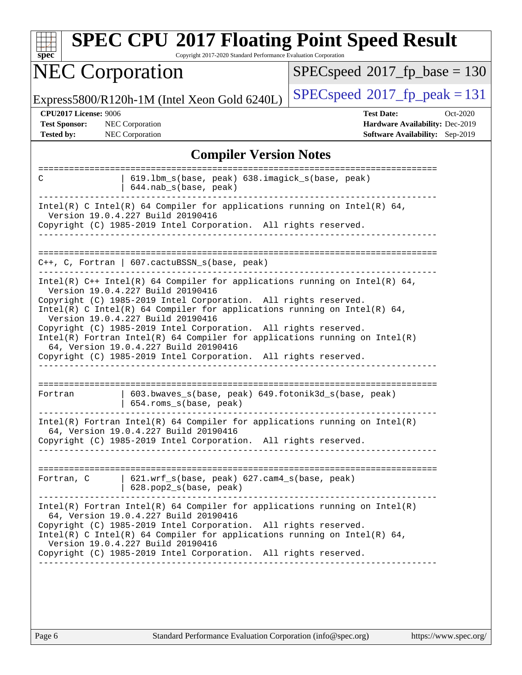| <b>NEC Corporation</b>                                                                                                                                                                                                                              | $SPEC speed^{\circ}2017$ fp base = 130                             |  |  |  |
|-----------------------------------------------------------------------------------------------------------------------------------------------------------------------------------------------------------------------------------------------------|--------------------------------------------------------------------|--|--|--|
| Express5800/R120h-1M (Intel Xeon Gold 6240L)                                                                                                                                                                                                        | $SPEC speed^{\circ}2017$ [p_peak = 131                             |  |  |  |
| CPU2017 License: 9006                                                                                                                                                                                                                               | <b>Test Date:</b><br>Oct-2020                                      |  |  |  |
| <b>Test Sponsor:</b><br><b>NEC Corporation</b><br>NEC Corporation<br><b>Tested by:</b>                                                                                                                                                              | Hardware Availability: Dec-2019<br>Software Availability: Sep-2019 |  |  |  |
| <b>Compiler Version Notes</b>                                                                                                                                                                                                                       |                                                                    |  |  |  |
|                                                                                                                                                                                                                                                     |                                                                    |  |  |  |
| 619.1bm_s(base, peak) 638.imagick_s(base, peak)<br>C<br>644.nab_s(base, peak)                                                                                                                                                                       |                                                                    |  |  |  |
| Intel(R) C Intel(R) 64 Compiler for applications running on Intel(R) 64,<br>Version 19.0.4.227 Build 20190416<br>Copyright (C) 1985-2019 Intel Corporation. All rights reserved.                                                                    |                                                                    |  |  |  |
|                                                                                                                                                                                                                                                     |                                                                    |  |  |  |
| $C++$ , C, Fortran   607.cactuBSSN_s(base, peak)                                                                                                                                                                                                    |                                                                    |  |  |  |
| Intel(R) $C++$ Intel(R) 64 Compiler for applications running on Intel(R) 64,<br>Version 19.0.4.227 Build 20190416                                                                                                                                   |                                                                    |  |  |  |
| Copyright (C) 1985-2019 Intel Corporation. All rights reserved.<br>Intel(R) C Intel(R) 64 Compiler for applications running on Intel(R) 64,<br>Version 19.0.4.227 Build 20190416                                                                    |                                                                    |  |  |  |
| Copyright (C) 1985-2019 Intel Corporation. All rights reserved.<br>$Intel(R)$ Fortran Intel(R) 64 Compiler for applications running on Intel(R)<br>64, Version 19.0.4.227 Build 20190416                                                            |                                                                    |  |  |  |
| Copyright (C) 1985-2019 Intel Corporation. All rights reserved.                                                                                                                                                                                     |                                                                    |  |  |  |
| 603.bwaves_s(base, peak) 649.fotonik3d_s(base, peak)<br>Fortran<br>654.roms_s(base, peak)                                                                                                                                                           | ---------------------                                              |  |  |  |
| $Intel(R)$ Fortran Intel(R) 64 Compiler for applications running on Intel(R)<br>64, Version 19.0.4.227 Build 20190416                                                                                                                               |                                                                    |  |  |  |
| Copyright (C) 1985-2019 Intel Corporation. All rights reserved.                                                                                                                                                                                     |                                                                    |  |  |  |
| 621.wrf_s(base, peak) 627.cam4_s(base, peak)<br>Fortran, C                                                                                                                                                                                          |                                                                    |  |  |  |
| 628.pop2_s(base, peak)                                                                                                                                                                                                                              |                                                                    |  |  |  |
| $Intel(R)$ Fortran Intel(R) 64 Compiler for applications running on Intel(R)<br>64, Version 19.0.4.227 Build 20190416                                                                                                                               |                                                                    |  |  |  |
| Copyright (C) 1985-2019 Intel Corporation. All rights reserved.<br>Intel(R) C Intel(R) 64 Compiler for applications running on Intel(R) 64,<br>Version 19.0.4.227 Build 20190416<br>Copyright (C) 1985-2019 Intel Corporation. All rights reserved. |                                                                    |  |  |  |
|                                                                                                                                                                                                                                                     |                                                                    |  |  |  |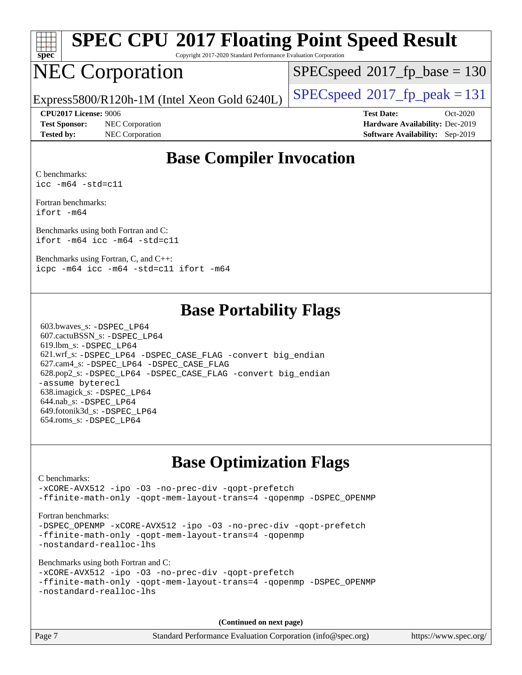| spe<br>Ľ<br>۹ |  |  |  |  |  |
|---------------|--|--|--|--|--|

# **[SPEC CPU](http://www.spec.org/auto/cpu2017/Docs/result-fields.html#SPECCPU2017FloatingPointSpeedResult)[2017 Floating Point Speed Result](http://www.spec.org/auto/cpu2017/Docs/result-fields.html#SPECCPU2017FloatingPointSpeedResult)**

Copyright 2017-2020 Standard Performance Evaluation Corporation

# NEC Corporation

[SPECspeed](http://www.spec.org/auto/cpu2017/Docs/result-fields.html#SPECspeed2017fpbase)<sup>®</sup>2017 fp base = 130

Express5800/R120h-1M (Intel Xeon Gold 6240L)  $\left|$  [SPECspeed](http://www.spec.org/auto/cpu2017/Docs/result-fields.html#SPECspeed2017fppeak)®[2017\\_fp\\_peak = 1](http://www.spec.org/auto/cpu2017/Docs/result-fields.html#SPECspeed2017fppeak)31

**[Test Sponsor:](http://www.spec.org/auto/cpu2017/Docs/result-fields.html#TestSponsor)** NEC Corporation **[Hardware Availability:](http://www.spec.org/auto/cpu2017/Docs/result-fields.html#HardwareAvailability)** Dec-2019 **[Tested by:](http://www.spec.org/auto/cpu2017/Docs/result-fields.html#Testedby)** NEC Corporation **[Software Availability:](http://www.spec.org/auto/cpu2017/Docs/result-fields.html#SoftwareAvailability)** Sep-2019

**[CPU2017 License:](http://www.spec.org/auto/cpu2017/Docs/result-fields.html#CPU2017License)** 9006 **[Test Date:](http://www.spec.org/auto/cpu2017/Docs/result-fields.html#TestDate)** Oct-2020

### **[Base Compiler Invocation](http://www.spec.org/auto/cpu2017/Docs/result-fields.html#BaseCompilerInvocation)**

[C benchmarks:](http://www.spec.org/auto/cpu2017/Docs/result-fields.html#Cbenchmarks) [icc -m64 -std=c11](http://www.spec.org/cpu2017/results/res2020q4/cpu2017-20201012-24179.flags.html#user_CCbase_intel_icc_64bit_c11_33ee0cdaae7deeeab2a9725423ba97205ce30f63b9926c2519791662299b76a0318f32ddfffdc46587804de3178b4f9328c46fa7c2b0cd779d7a61945c91cd35)

[Fortran benchmarks](http://www.spec.org/auto/cpu2017/Docs/result-fields.html#Fortranbenchmarks): [ifort -m64](http://www.spec.org/cpu2017/results/res2020q4/cpu2017-20201012-24179.flags.html#user_FCbase_intel_ifort_64bit_24f2bb282fbaeffd6157abe4f878425411749daecae9a33200eee2bee2fe76f3b89351d69a8130dd5949958ce389cf37ff59a95e7a40d588e8d3a57e0c3fd751)

[Benchmarks using both Fortran and C:](http://www.spec.org/auto/cpu2017/Docs/result-fields.html#BenchmarksusingbothFortranandC) [ifort -m64](http://www.spec.org/cpu2017/results/res2020q4/cpu2017-20201012-24179.flags.html#user_CC_FCbase_intel_ifort_64bit_24f2bb282fbaeffd6157abe4f878425411749daecae9a33200eee2bee2fe76f3b89351d69a8130dd5949958ce389cf37ff59a95e7a40d588e8d3a57e0c3fd751) [icc -m64 -std=c11](http://www.spec.org/cpu2017/results/res2020q4/cpu2017-20201012-24179.flags.html#user_CC_FCbase_intel_icc_64bit_c11_33ee0cdaae7deeeab2a9725423ba97205ce30f63b9926c2519791662299b76a0318f32ddfffdc46587804de3178b4f9328c46fa7c2b0cd779d7a61945c91cd35)

[Benchmarks using Fortran, C, and C++:](http://www.spec.org/auto/cpu2017/Docs/result-fields.html#BenchmarksusingFortranCandCXX) [icpc -m64](http://www.spec.org/cpu2017/results/res2020q4/cpu2017-20201012-24179.flags.html#user_CC_CXX_FCbase_intel_icpc_64bit_4ecb2543ae3f1412ef961e0650ca070fec7b7afdcd6ed48761b84423119d1bf6bdf5cad15b44d48e7256388bc77273b966e5eb805aefd121eb22e9299b2ec9d9) [icc -m64 -std=c11](http://www.spec.org/cpu2017/results/res2020q4/cpu2017-20201012-24179.flags.html#user_CC_CXX_FCbase_intel_icc_64bit_c11_33ee0cdaae7deeeab2a9725423ba97205ce30f63b9926c2519791662299b76a0318f32ddfffdc46587804de3178b4f9328c46fa7c2b0cd779d7a61945c91cd35) [ifort -m64](http://www.spec.org/cpu2017/results/res2020q4/cpu2017-20201012-24179.flags.html#user_CC_CXX_FCbase_intel_ifort_64bit_24f2bb282fbaeffd6157abe4f878425411749daecae9a33200eee2bee2fe76f3b89351d69a8130dd5949958ce389cf37ff59a95e7a40d588e8d3a57e0c3fd751)

### **[Base Portability Flags](http://www.spec.org/auto/cpu2017/Docs/result-fields.html#BasePortabilityFlags)**

 603.bwaves\_s: [-DSPEC\\_LP64](http://www.spec.org/cpu2017/results/res2020q4/cpu2017-20201012-24179.flags.html#suite_basePORTABILITY603_bwaves_s_DSPEC_LP64) 607.cactuBSSN\_s: [-DSPEC\\_LP64](http://www.spec.org/cpu2017/results/res2020q4/cpu2017-20201012-24179.flags.html#suite_basePORTABILITY607_cactuBSSN_s_DSPEC_LP64) 619.lbm\_s: [-DSPEC\\_LP64](http://www.spec.org/cpu2017/results/res2020q4/cpu2017-20201012-24179.flags.html#suite_basePORTABILITY619_lbm_s_DSPEC_LP64) 621.wrf\_s: [-DSPEC\\_LP64](http://www.spec.org/cpu2017/results/res2020q4/cpu2017-20201012-24179.flags.html#suite_basePORTABILITY621_wrf_s_DSPEC_LP64) [-DSPEC\\_CASE\\_FLAG](http://www.spec.org/cpu2017/results/res2020q4/cpu2017-20201012-24179.flags.html#b621.wrf_s_baseCPORTABILITY_DSPEC_CASE_FLAG) [-convert big\\_endian](http://www.spec.org/cpu2017/results/res2020q4/cpu2017-20201012-24179.flags.html#user_baseFPORTABILITY621_wrf_s_convert_big_endian_c3194028bc08c63ac5d04de18c48ce6d347e4e562e8892b8bdbdc0214820426deb8554edfa529a3fb25a586e65a3d812c835984020483e7e73212c4d31a38223) 627.cam4\_s: [-DSPEC\\_LP64](http://www.spec.org/cpu2017/results/res2020q4/cpu2017-20201012-24179.flags.html#suite_basePORTABILITY627_cam4_s_DSPEC_LP64) [-DSPEC\\_CASE\\_FLAG](http://www.spec.org/cpu2017/results/res2020q4/cpu2017-20201012-24179.flags.html#b627.cam4_s_baseCPORTABILITY_DSPEC_CASE_FLAG) 628.pop2\_s: [-DSPEC\\_LP64](http://www.spec.org/cpu2017/results/res2020q4/cpu2017-20201012-24179.flags.html#suite_basePORTABILITY628_pop2_s_DSPEC_LP64) [-DSPEC\\_CASE\\_FLAG](http://www.spec.org/cpu2017/results/res2020q4/cpu2017-20201012-24179.flags.html#b628.pop2_s_baseCPORTABILITY_DSPEC_CASE_FLAG) [-convert big\\_endian](http://www.spec.org/cpu2017/results/res2020q4/cpu2017-20201012-24179.flags.html#user_baseFPORTABILITY628_pop2_s_convert_big_endian_c3194028bc08c63ac5d04de18c48ce6d347e4e562e8892b8bdbdc0214820426deb8554edfa529a3fb25a586e65a3d812c835984020483e7e73212c4d31a38223) [-assume byterecl](http://www.spec.org/cpu2017/results/res2020q4/cpu2017-20201012-24179.flags.html#user_baseFPORTABILITY628_pop2_s_assume_byterecl_7e47d18b9513cf18525430bbf0f2177aa9bf368bc7a059c09b2c06a34b53bd3447c950d3f8d6c70e3faf3a05c8557d66a5798b567902e8849adc142926523472) 638.imagick\_s: [-DSPEC\\_LP64](http://www.spec.org/cpu2017/results/res2020q4/cpu2017-20201012-24179.flags.html#suite_basePORTABILITY638_imagick_s_DSPEC_LP64) 644.nab\_s: [-DSPEC\\_LP64](http://www.spec.org/cpu2017/results/res2020q4/cpu2017-20201012-24179.flags.html#suite_basePORTABILITY644_nab_s_DSPEC_LP64) 649.fotonik3d\_s: [-DSPEC\\_LP64](http://www.spec.org/cpu2017/results/res2020q4/cpu2017-20201012-24179.flags.html#suite_basePORTABILITY649_fotonik3d_s_DSPEC_LP64) 654.roms\_s: [-DSPEC\\_LP64](http://www.spec.org/cpu2017/results/res2020q4/cpu2017-20201012-24179.flags.html#suite_basePORTABILITY654_roms_s_DSPEC_LP64)

## **[Base Optimization Flags](http://www.spec.org/auto/cpu2017/Docs/result-fields.html#BaseOptimizationFlags)**

#### [C benchmarks](http://www.spec.org/auto/cpu2017/Docs/result-fields.html#Cbenchmarks): [-xCORE-AVX512](http://www.spec.org/cpu2017/results/res2020q4/cpu2017-20201012-24179.flags.html#user_CCbase_f-xCORE-AVX512) [-ipo](http://www.spec.org/cpu2017/results/res2020q4/cpu2017-20201012-24179.flags.html#user_CCbase_f-ipo) [-O3](http://www.spec.org/cpu2017/results/res2020q4/cpu2017-20201012-24179.flags.html#user_CCbase_f-O3) [-no-prec-div](http://www.spec.org/cpu2017/results/res2020q4/cpu2017-20201012-24179.flags.html#user_CCbase_f-no-prec-div) [-qopt-prefetch](http://www.spec.org/cpu2017/results/res2020q4/cpu2017-20201012-24179.flags.html#user_CCbase_f-qopt-prefetch) [-ffinite-math-only](http://www.spec.org/cpu2017/results/res2020q4/cpu2017-20201012-24179.flags.html#user_CCbase_f_finite_math_only_cb91587bd2077682c4b38af759c288ed7c732db004271a9512da14a4f8007909a5f1427ecbf1a0fb78ff2a814402c6114ac565ca162485bbcae155b5e4258871) [-qopt-mem-layout-trans=4](http://www.spec.org/cpu2017/results/res2020q4/cpu2017-20201012-24179.flags.html#user_CCbase_f-qopt-mem-layout-trans_fa39e755916c150a61361b7846f310bcdf6f04e385ef281cadf3647acec3f0ae266d1a1d22d972a7087a248fd4e6ca390a3634700869573d231a252c784941a8) [-qopenmp](http://www.spec.org/cpu2017/results/res2020q4/cpu2017-20201012-24179.flags.html#user_CCbase_qopenmp_16be0c44f24f464004c6784a7acb94aca937f053568ce72f94b139a11c7c168634a55f6653758ddd83bcf7b8463e8028bb0b48b77bcddc6b78d5d95bb1df2967) [-DSPEC\\_OPENMP](http://www.spec.org/cpu2017/results/res2020q4/cpu2017-20201012-24179.flags.html#suite_CCbase_DSPEC_OPENMP) [Fortran benchmarks](http://www.spec.org/auto/cpu2017/Docs/result-fields.html#Fortranbenchmarks): -DSPEC OPENMP [-xCORE-AVX512](http://www.spec.org/cpu2017/results/res2020q4/cpu2017-20201012-24179.flags.html#user_FCbase_f-xCORE-AVX512) [-ipo](http://www.spec.org/cpu2017/results/res2020q4/cpu2017-20201012-24179.flags.html#user_FCbase_f-ipo) [-O3](http://www.spec.org/cpu2017/results/res2020q4/cpu2017-20201012-24179.flags.html#user_FCbase_f-O3) [-no-prec-div](http://www.spec.org/cpu2017/results/res2020q4/cpu2017-20201012-24179.flags.html#user_FCbase_f-no-prec-div) [-qopt-prefetch](http://www.spec.org/cpu2017/results/res2020q4/cpu2017-20201012-24179.flags.html#user_FCbase_f-qopt-prefetch) [-ffinite-math-only](http://www.spec.org/cpu2017/results/res2020q4/cpu2017-20201012-24179.flags.html#user_FCbase_f_finite_math_only_cb91587bd2077682c4b38af759c288ed7c732db004271a9512da14a4f8007909a5f1427ecbf1a0fb78ff2a814402c6114ac565ca162485bbcae155b5e4258871) [-qopt-mem-layout-trans=4](http://www.spec.org/cpu2017/results/res2020q4/cpu2017-20201012-24179.flags.html#user_FCbase_f-qopt-mem-layout-trans_fa39e755916c150a61361b7846f310bcdf6f04e385ef281cadf3647acec3f0ae266d1a1d22d972a7087a248fd4e6ca390a3634700869573d231a252c784941a8) [-qopenmp](http://www.spec.org/cpu2017/results/res2020q4/cpu2017-20201012-24179.flags.html#user_FCbase_qopenmp_16be0c44f24f464004c6784a7acb94aca937f053568ce72f94b139a11c7c168634a55f6653758ddd83bcf7b8463e8028bb0b48b77bcddc6b78d5d95bb1df2967) [-nostandard-realloc-lhs](http://www.spec.org/cpu2017/results/res2020q4/cpu2017-20201012-24179.flags.html#user_FCbase_f_2003_std_realloc_82b4557e90729c0f113870c07e44d33d6f5a304b4f63d4c15d2d0f1fab99f5daaed73bdb9275d9ae411527f28b936061aa8b9c8f2d63842963b95c9dd6426b8a) [Benchmarks using both Fortran and C](http://www.spec.org/auto/cpu2017/Docs/result-fields.html#BenchmarksusingbothFortranandC): [-xCORE-AVX512](http://www.spec.org/cpu2017/results/res2020q4/cpu2017-20201012-24179.flags.html#user_CC_FCbase_f-xCORE-AVX512) [-ipo](http://www.spec.org/cpu2017/results/res2020q4/cpu2017-20201012-24179.flags.html#user_CC_FCbase_f-ipo) [-O3](http://www.spec.org/cpu2017/results/res2020q4/cpu2017-20201012-24179.flags.html#user_CC_FCbase_f-O3) [-no-prec-div](http://www.spec.org/cpu2017/results/res2020q4/cpu2017-20201012-24179.flags.html#user_CC_FCbase_f-no-prec-div) [-qopt-prefetch](http://www.spec.org/cpu2017/results/res2020q4/cpu2017-20201012-24179.flags.html#user_CC_FCbase_f-qopt-prefetch) [-ffinite-math-only](http://www.spec.org/cpu2017/results/res2020q4/cpu2017-20201012-24179.flags.html#user_CC_FCbase_f_finite_math_only_cb91587bd2077682c4b38af759c288ed7c732db004271a9512da14a4f8007909a5f1427ecbf1a0fb78ff2a814402c6114ac565ca162485bbcae155b5e4258871) [-qopt-mem-layout-trans=4](http://www.spec.org/cpu2017/results/res2020q4/cpu2017-20201012-24179.flags.html#user_CC_FCbase_f-qopt-mem-layout-trans_fa39e755916c150a61361b7846f310bcdf6f04e385ef281cadf3647acec3f0ae266d1a1d22d972a7087a248fd4e6ca390a3634700869573d231a252c784941a8) [-qopenmp](http://www.spec.org/cpu2017/results/res2020q4/cpu2017-20201012-24179.flags.html#user_CC_FCbase_qopenmp_16be0c44f24f464004c6784a7acb94aca937f053568ce72f94b139a11c7c168634a55f6653758ddd83bcf7b8463e8028bb0b48b77bcddc6b78d5d95bb1df2967) [-DSPEC\\_OPENMP](http://www.spec.org/cpu2017/results/res2020q4/cpu2017-20201012-24179.flags.html#suite_CC_FCbase_DSPEC_OPENMP) [-nostandard-realloc-lhs](http://www.spec.org/cpu2017/results/res2020q4/cpu2017-20201012-24179.flags.html#user_CC_FCbase_f_2003_std_realloc_82b4557e90729c0f113870c07e44d33d6f5a304b4f63d4c15d2d0f1fab99f5daaed73bdb9275d9ae411527f28b936061aa8b9c8f2d63842963b95c9dd6426b8a) **(Continued on next page)**

Page 7 Standard Performance Evaluation Corporation [\(info@spec.org\)](mailto:info@spec.org) <https://www.spec.org/>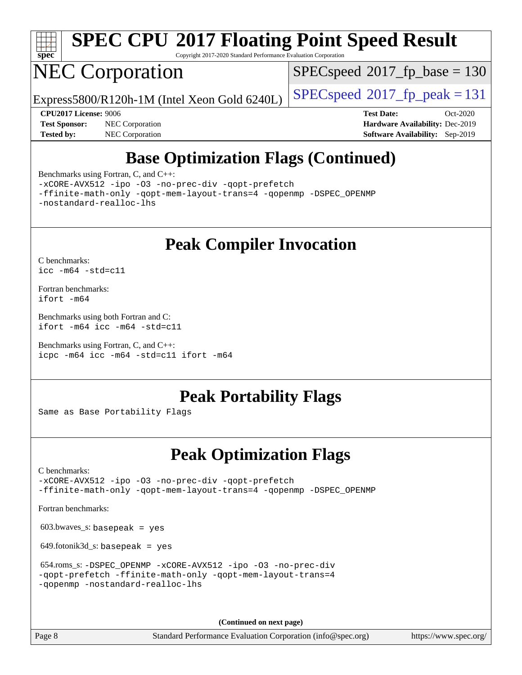

# **[SPEC CPU](http://www.spec.org/auto/cpu2017/Docs/result-fields.html#SPECCPU2017FloatingPointSpeedResult)[2017 Floating Point Speed Result](http://www.spec.org/auto/cpu2017/Docs/result-fields.html#SPECCPU2017FloatingPointSpeedResult)**

Copyright 2017-2020 Standard Performance Evaluation Corporation

## NEC Corporation

[SPECspeed](http://www.spec.org/auto/cpu2017/Docs/result-fields.html#SPECspeed2017fpbase)<sup>®</sup>2017 fp base = 130

Express5800/R120h-1M (Intel Xeon Gold 6240L)  $\big|$  [SPECspeed](http://www.spec.org/auto/cpu2017/Docs/result-fields.html#SPECspeed2017fppeak)®[2017\\_fp\\_peak = 1](http://www.spec.org/auto/cpu2017/Docs/result-fields.html#SPECspeed2017fppeak)31

**[Tested by:](http://www.spec.org/auto/cpu2017/Docs/result-fields.html#Testedby)** NEC Corporation **[Software Availability:](http://www.spec.org/auto/cpu2017/Docs/result-fields.html#SoftwareAvailability)** Sep-2019

**[CPU2017 License:](http://www.spec.org/auto/cpu2017/Docs/result-fields.html#CPU2017License)** 9006 **[Test Date:](http://www.spec.org/auto/cpu2017/Docs/result-fields.html#TestDate)** Oct-2020 **[Test Sponsor:](http://www.spec.org/auto/cpu2017/Docs/result-fields.html#TestSponsor)** NEC Corporation **[Hardware Availability:](http://www.spec.org/auto/cpu2017/Docs/result-fields.html#HardwareAvailability)** Dec-2019

## **[Base Optimization Flags \(Continued\)](http://www.spec.org/auto/cpu2017/Docs/result-fields.html#BaseOptimizationFlags)**

[Benchmarks using Fortran, C, and C++:](http://www.spec.org/auto/cpu2017/Docs/result-fields.html#BenchmarksusingFortranCandCXX)

[-xCORE-AVX512](http://www.spec.org/cpu2017/results/res2020q4/cpu2017-20201012-24179.flags.html#user_CC_CXX_FCbase_f-xCORE-AVX512) [-ipo](http://www.spec.org/cpu2017/results/res2020q4/cpu2017-20201012-24179.flags.html#user_CC_CXX_FCbase_f-ipo) [-O3](http://www.spec.org/cpu2017/results/res2020q4/cpu2017-20201012-24179.flags.html#user_CC_CXX_FCbase_f-O3) [-no-prec-div](http://www.spec.org/cpu2017/results/res2020q4/cpu2017-20201012-24179.flags.html#user_CC_CXX_FCbase_f-no-prec-div) [-qopt-prefetch](http://www.spec.org/cpu2017/results/res2020q4/cpu2017-20201012-24179.flags.html#user_CC_CXX_FCbase_f-qopt-prefetch)

[-ffinite-math-only](http://www.spec.org/cpu2017/results/res2020q4/cpu2017-20201012-24179.flags.html#user_CC_CXX_FCbase_f_finite_math_only_cb91587bd2077682c4b38af759c288ed7c732db004271a9512da14a4f8007909a5f1427ecbf1a0fb78ff2a814402c6114ac565ca162485bbcae155b5e4258871) [-qopt-mem-layout-trans=4](http://www.spec.org/cpu2017/results/res2020q4/cpu2017-20201012-24179.flags.html#user_CC_CXX_FCbase_f-qopt-mem-layout-trans_fa39e755916c150a61361b7846f310bcdf6f04e385ef281cadf3647acec3f0ae266d1a1d22d972a7087a248fd4e6ca390a3634700869573d231a252c784941a8) [-qopenmp](http://www.spec.org/cpu2017/results/res2020q4/cpu2017-20201012-24179.flags.html#user_CC_CXX_FCbase_qopenmp_16be0c44f24f464004c6784a7acb94aca937f053568ce72f94b139a11c7c168634a55f6653758ddd83bcf7b8463e8028bb0b48b77bcddc6b78d5d95bb1df2967) [-DSPEC\\_OPENMP](http://www.spec.org/cpu2017/results/res2020q4/cpu2017-20201012-24179.flags.html#suite_CC_CXX_FCbase_DSPEC_OPENMP) [-nostandard-realloc-lhs](http://www.spec.org/cpu2017/results/res2020q4/cpu2017-20201012-24179.flags.html#user_CC_CXX_FCbase_f_2003_std_realloc_82b4557e90729c0f113870c07e44d33d6f5a304b4f63d4c15d2d0f1fab99f5daaed73bdb9275d9ae411527f28b936061aa8b9c8f2d63842963b95c9dd6426b8a)

**[Peak Compiler Invocation](http://www.spec.org/auto/cpu2017/Docs/result-fields.html#PeakCompilerInvocation)**

[C benchmarks](http://www.spec.org/auto/cpu2017/Docs/result-fields.html#Cbenchmarks): [icc -m64 -std=c11](http://www.spec.org/cpu2017/results/res2020q4/cpu2017-20201012-24179.flags.html#user_CCpeak_intel_icc_64bit_c11_33ee0cdaae7deeeab2a9725423ba97205ce30f63b9926c2519791662299b76a0318f32ddfffdc46587804de3178b4f9328c46fa7c2b0cd779d7a61945c91cd35)

[Fortran benchmarks](http://www.spec.org/auto/cpu2017/Docs/result-fields.html#Fortranbenchmarks): [ifort -m64](http://www.spec.org/cpu2017/results/res2020q4/cpu2017-20201012-24179.flags.html#user_FCpeak_intel_ifort_64bit_24f2bb282fbaeffd6157abe4f878425411749daecae9a33200eee2bee2fe76f3b89351d69a8130dd5949958ce389cf37ff59a95e7a40d588e8d3a57e0c3fd751)

[Benchmarks using both Fortran and C](http://www.spec.org/auto/cpu2017/Docs/result-fields.html#BenchmarksusingbothFortranandC): [ifort -m64](http://www.spec.org/cpu2017/results/res2020q4/cpu2017-20201012-24179.flags.html#user_CC_FCpeak_intel_ifort_64bit_24f2bb282fbaeffd6157abe4f878425411749daecae9a33200eee2bee2fe76f3b89351d69a8130dd5949958ce389cf37ff59a95e7a40d588e8d3a57e0c3fd751) [icc -m64 -std=c11](http://www.spec.org/cpu2017/results/res2020q4/cpu2017-20201012-24179.flags.html#user_CC_FCpeak_intel_icc_64bit_c11_33ee0cdaae7deeeab2a9725423ba97205ce30f63b9926c2519791662299b76a0318f32ddfffdc46587804de3178b4f9328c46fa7c2b0cd779d7a61945c91cd35)

[Benchmarks using Fortran, C, and C++:](http://www.spec.org/auto/cpu2017/Docs/result-fields.html#BenchmarksusingFortranCandCXX) [icpc -m64](http://www.spec.org/cpu2017/results/res2020q4/cpu2017-20201012-24179.flags.html#user_CC_CXX_FCpeak_intel_icpc_64bit_4ecb2543ae3f1412ef961e0650ca070fec7b7afdcd6ed48761b84423119d1bf6bdf5cad15b44d48e7256388bc77273b966e5eb805aefd121eb22e9299b2ec9d9) [icc -m64 -std=c11](http://www.spec.org/cpu2017/results/res2020q4/cpu2017-20201012-24179.flags.html#user_CC_CXX_FCpeak_intel_icc_64bit_c11_33ee0cdaae7deeeab2a9725423ba97205ce30f63b9926c2519791662299b76a0318f32ddfffdc46587804de3178b4f9328c46fa7c2b0cd779d7a61945c91cd35) [ifort -m64](http://www.spec.org/cpu2017/results/res2020q4/cpu2017-20201012-24179.flags.html#user_CC_CXX_FCpeak_intel_ifort_64bit_24f2bb282fbaeffd6157abe4f878425411749daecae9a33200eee2bee2fe76f3b89351d69a8130dd5949958ce389cf37ff59a95e7a40d588e8d3a57e0c3fd751)

## **[Peak Portability Flags](http://www.spec.org/auto/cpu2017/Docs/result-fields.html#PeakPortabilityFlags)**

Same as Base Portability Flags

## **[Peak Optimization Flags](http://www.spec.org/auto/cpu2017/Docs/result-fields.html#PeakOptimizationFlags)**

[C benchmarks](http://www.spec.org/auto/cpu2017/Docs/result-fields.html#Cbenchmarks):

[-xCORE-AVX512](http://www.spec.org/cpu2017/results/res2020q4/cpu2017-20201012-24179.flags.html#user_CCpeak_f-xCORE-AVX512) [-ipo](http://www.spec.org/cpu2017/results/res2020q4/cpu2017-20201012-24179.flags.html#user_CCpeak_f-ipo) [-O3](http://www.spec.org/cpu2017/results/res2020q4/cpu2017-20201012-24179.flags.html#user_CCpeak_f-O3) [-no-prec-div](http://www.spec.org/cpu2017/results/res2020q4/cpu2017-20201012-24179.flags.html#user_CCpeak_f-no-prec-div) [-qopt-prefetch](http://www.spec.org/cpu2017/results/res2020q4/cpu2017-20201012-24179.flags.html#user_CCpeak_f-qopt-prefetch) [-ffinite-math-only](http://www.spec.org/cpu2017/results/res2020q4/cpu2017-20201012-24179.flags.html#user_CCpeak_f_finite_math_only_cb91587bd2077682c4b38af759c288ed7c732db004271a9512da14a4f8007909a5f1427ecbf1a0fb78ff2a814402c6114ac565ca162485bbcae155b5e4258871) [-qopt-mem-layout-trans=4](http://www.spec.org/cpu2017/results/res2020q4/cpu2017-20201012-24179.flags.html#user_CCpeak_f-qopt-mem-layout-trans_fa39e755916c150a61361b7846f310bcdf6f04e385ef281cadf3647acec3f0ae266d1a1d22d972a7087a248fd4e6ca390a3634700869573d231a252c784941a8) [-qopenmp](http://www.spec.org/cpu2017/results/res2020q4/cpu2017-20201012-24179.flags.html#user_CCpeak_qopenmp_16be0c44f24f464004c6784a7acb94aca937f053568ce72f94b139a11c7c168634a55f6653758ddd83bcf7b8463e8028bb0b48b77bcddc6b78d5d95bb1df2967) [-DSPEC\\_OPENMP](http://www.spec.org/cpu2017/results/res2020q4/cpu2017-20201012-24179.flags.html#suite_CCpeak_DSPEC_OPENMP)

[Fortran benchmarks](http://www.spec.org/auto/cpu2017/Docs/result-fields.html#Fortranbenchmarks):

 $603.bwaves$  s: basepeak = yes

 $649.$ fotonik $3d$ <sub>-</sub>s: basepeak = yes

```
 654.roms_s: -DSPEC_OPENMP -xCORE-AVX512 -ipo -O3 -no-prec-div
-qopt-prefetch -ffinite-math-only -qopt-mem-layout-trans=4
-qopenmp -nostandard-realloc-lhs
```
**(Continued on next page)**

Page 8 Standard Performance Evaluation Corporation [\(info@spec.org\)](mailto:info@spec.org) <https://www.spec.org/>